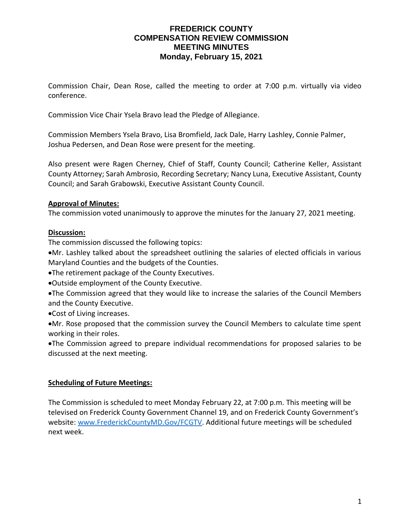## **FREDERICK COUNTY COMPENSATION REVIEW COMMISSION MEETING MINUTES Monday, February 15, 2021**

Commission Chair, Dean Rose, called the meeting to order at 7:00 p.m. virtually via video conference.

Commission Vice Chair Ysela Bravo lead the Pledge of Allegiance.

Commission Members Ysela Bravo, Lisa Bromfield, Jack Dale, Harry Lashley, Connie Palmer, Joshua Pedersen, and Dean Rose were present for the meeting.

Also present were Ragen Cherney, Chief of Staff, County Council; Catherine Keller, Assistant County Attorney; Sarah Ambrosio, Recording Secretary; Nancy Luna, Executive Assistant, County Council; and Sarah Grabowski, Executive Assistant County Council.

#### **Approval of Minutes:**

The commission voted unanimously to approve the minutes for the January 27, 2021 meeting.

#### **Discussion:**

The commission discussed the following topics:

•Mr. Lashley talked about the spreadsheet outlining the salaries of elected officials in various Maryland Counties and the budgets of the Counties.

•The retirement package of the County Executives.

•Outside employment of the County Executive.

•The Commission agreed that they would like to increase the salaries of the Council Members and the County Executive.

•Cost of Living increases.

•Mr. Rose proposed that the commission survey the Council Members to calculate time spent working in their roles.

•The Commission agreed to prepare individual recommendations for proposed salaries to be discussed at the next meeting.

## **Scheduling of Future Meetings:**

The Commission is scheduled to meet Monday February 22, at 7:00 p.m. This meeting will be televised on Frederick County Government Channel 19, and on Frederick County Government's website: www.FrederickCountyMD.Gov/FCGTV. Additional future meetings will be scheduled next week.